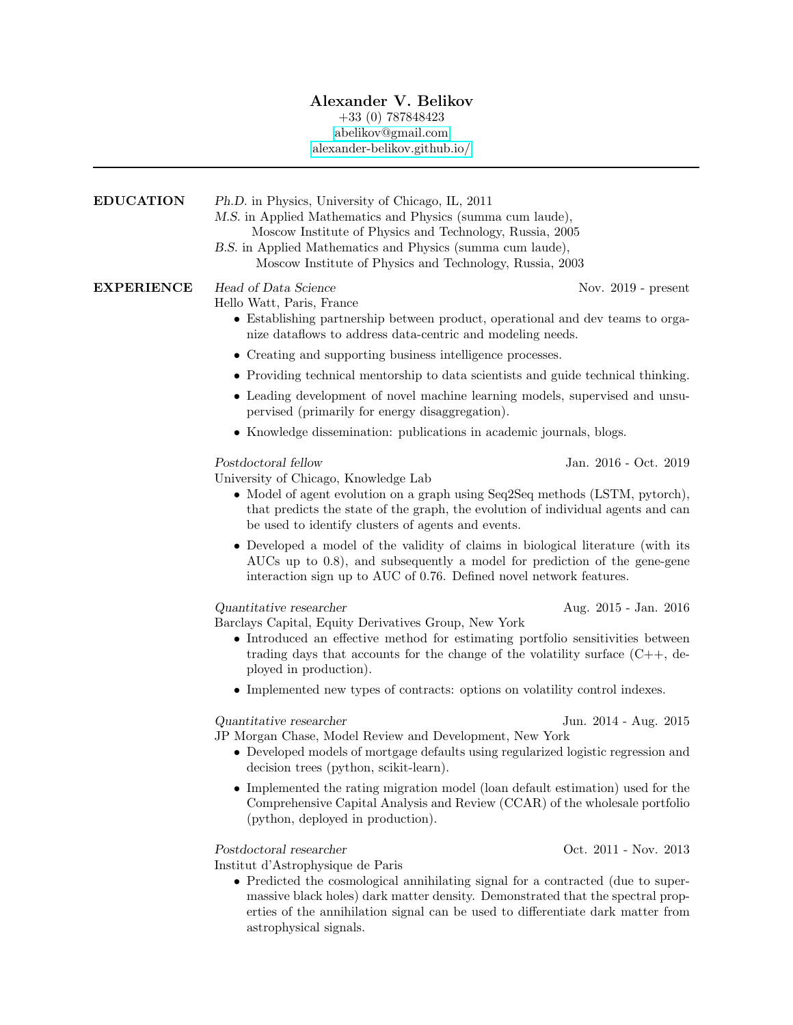## Alexander V. Belikov

## +33 (0) 787848423

[abelikov@gmail.com](mailto:abelikov@gmail.com)

[alexander-belikov.github.io/](https://alexander-belikov.github.io/)

| <b>EDUCATION</b>  | Ph.D. in Physics, University of Chicago, IL, 2011<br>M.S. in Applied Mathematics and Physics (summa cum laude),<br>Moscow Institute of Physics and Technology, Russia, 2005<br>B.S. in Applied Mathematics and Physics (summa cum laude),<br>Moscow Institute of Physics and Technology, Russia, 2003 |                       |
|-------------------|-------------------------------------------------------------------------------------------------------------------------------------------------------------------------------------------------------------------------------------------------------------------------------------------------------|-----------------------|
| <b>EXPERIENCE</b> | Head of Data Science<br>Hello Watt, Paris, France<br>• Establishing partnership between product, operational and dev teams to orga-<br>nize data flows to address data-centric and modeling needs.                                                                                                    | Nov. $2019$ - present |
|                   | • Creating and supporting business intelligence processes.                                                                                                                                                                                                                                            |                       |
|                   | • Providing technical mentorship to data scientists and guide technical thinking.                                                                                                                                                                                                                     |                       |
|                   | • Leading development of novel machine learning models, supervised and unsu-<br>pervised (primarily for energy disaggregation).                                                                                                                                                                       |                       |
|                   | • Knowledge dissemination: publications in academic journals, blogs.                                                                                                                                                                                                                                  |                       |
|                   | Postdoctoral fellow<br>University of Chicago, Knowledge Lab<br>• Model of agent evolution on a graph using Seq2Seq methods (LSTM, pytorch),<br>that predicts the state of the graph, the evolution of individual agents and can<br>be used to identify clusters of agents and events.                 | Jan. 2016 - Oct. 2019 |
|                   | • Developed a model of the validity of claims in biological literature (with its<br>AUCs up to 0.8), and subsequently a model for prediction of the gene-gene<br>interaction sign up to AUC of 0.76. Defined novel network features.                                                                  |                       |
|                   | Quantitative researcher<br>Barclays Capital, Equity Derivatives Group, New York<br>• Introduced an effective method for estimating portfolio sensitivities between<br>trading days that accounts for the change of the volatility surface $(C++, de-)$<br>ployed in production).                      | Aug. 2015 - Jan. 2016 |
|                   | • Implemented new types of contracts: options on volatility control indexes.                                                                                                                                                                                                                          |                       |
|                   | Quantitative researcher<br>JP Morgan Chase, Model Review and Development, New York<br>• Developed models of mortgage defaults using regularized logistic regression and<br>decision trees (python, scikit-learn).                                                                                     | Jun. 2014 - Aug. 2015 |
|                   | • Implemented the rating migration model (loan default estimation) used for the<br>Comprehensive Capital Analysis and Review (CCAR) of the wholesale portfolio<br>(python, deployed in production).                                                                                                   |                       |
|                   | Postdoctoral researcher<br>Institut d'Astrophysique de Paris<br>Ductional the complemed environmental for a contracted (ductor                                                                                                                                                                        | Oct. 2011 - Nov. 2013 |

 $\bullet$  Predicted the cosmological annihilating signal for a contracted (due to supermassive black holes) dark matter density. Demonstrated that the spectral properties of the annihilation signal can be used to differentiate dark matter from astrophysical signals.